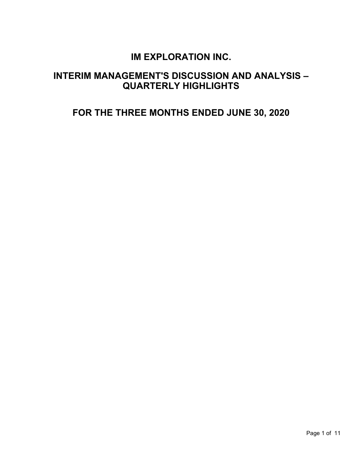# **IM EXPLORATION INC.**

# **INTERIM MANAGEMENT'S DISCUSSION AND ANALYSIS – QUARTERLY HIGHLIGHTS**

# **FOR THE THREE MONTHS ENDED JUNE 30, 2020**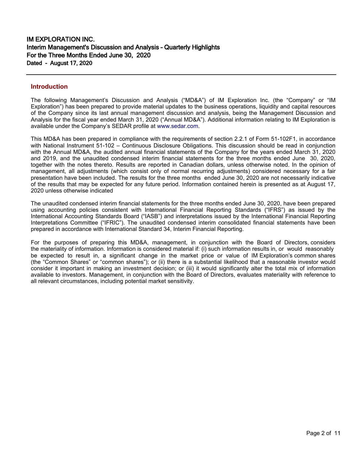## **Introduction**

The following Management's Discussion and Analysis ("MD&A") of IM Exploration Inc. (the "Company" or "IM Exploration") has been prepared to provide material updates to the business operations, liquidity and capital resources of the Company since its last annual management discussion and analysis, being the Management Discussion and Analysis for the fiscal year ended March 31, 2020 ("Annual MD&A"). Additional information relating to IM Exploration is available under the Company's SEDAR profile at [www.sedar.com.](http://www.sedar.com/)

This MD&A has been prepared in compliance with the requirements of section 2.2.1 of Form 51-102F1, in accordance with National Instrument 51-102 – Continuous Disclosure Obligations. This discussion should be read in conjunction with the Annual MD&A, the audited annual financial statements of the Company for the years ended March 31, 2020 and 2019, and the unaudited condensed interim financial statements for the three months ended June 30, 2020, together with the notes thereto. Results are reported in Canadian dollars, unless otherwise noted. In the opinion of management, all adjustments (which consist only of normal recurring adjustments) considered necessary for a fair presentation have been included. The results for the three months ended June 30, 2020 are not necessarily indicative of the results that may be expected for any future period. Information contained herein is presented as at August 17, 2020 unless otherwise indicated

The unaudited condensed interim financial statements for the three months ended June 30, 2020, have been prepared using accounting policies consistent with International Financial Reporting Standards ("IFRS") as issued by the International Accounting Standards Board ("IASB") and interpretations issued by the International Financial Reporting Interpretations Committee ("IFRIC"). The unaudited condensed interim consolidated financial statements have been prepared in accordance with International Standard 34, Interim Financial Reporting.

For the purposes of preparing this MD&A, management, in conjunction with the Board of Directors, considers the materiality of information. Information is considered material if: (i) such information results in, or would reasonably be expected to result in, a significant change in the market price or value of IM Exploration's common shares (the "Common Shares" or "common shares"); or (ii) there is a substantial likelihood that a reasonable investor would consider it important in making an investment decision; or (iii) it would significantly alter the total mix of information available to investors. Management, in conjunction with the Board of Directors, evaluates materiality with reference to all relevant circumstances, including potential market sensitivity.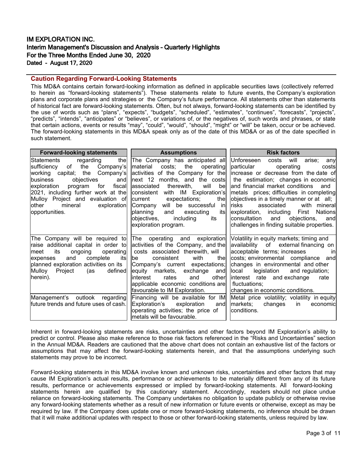# IM EXPLORATION INC. Interim Management's Discussion and Analysis – Quarterly Highlights For the Three Months Ended June 30, 2020 Dated - August 17, 2020

## **Caution Regarding Forward-Looking Statements**

This MD&A contains certain forward-looking information as defined in applicable securities laws (collectively referred to herein as "forward-looking statements"). These statements relate to future events, the Company's exploration plans and corporate plans and strategies or the Company's future performance. All statements other than statements of historical fact are forward-looking statements. Often, but not always, forward-looking statements can be identified by the use of words such as "plans", "expects", "budgets", "scheduled", "estimates", "continues", "forecasts", "projects", "predicts", "intends", "anticipates" or "believes", or variations of, or the negatives of, such words and phrases, or state that certain actions, events or results "may", "could", "would", "should", "might" or "will" be taken, occur or be achieved. The forward-looking statements in this MD&A speak only as of the date of this MD&A or as of the date specified in such statement.

| <b>Forward-looking statements</b>                                                                                                                                                                                                                                                                                 | <b>Assumptions</b>                                                                                                                                                                                                                                                                                                                                                                                     | <b>Risk factors</b>                                                                                                                                                                                                                                                                                                                                                                                                                                                                                                        |  |  |
|-------------------------------------------------------------------------------------------------------------------------------------------------------------------------------------------------------------------------------------------------------------------------------------------------------------------|--------------------------------------------------------------------------------------------------------------------------------------------------------------------------------------------------------------------------------------------------------------------------------------------------------------------------------------------------------------------------------------------------------|----------------------------------------------------------------------------------------------------------------------------------------------------------------------------------------------------------------------------------------------------------------------------------------------------------------------------------------------------------------------------------------------------------------------------------------------------------------------------------------------------------------------------|--|--|
| the<br> Statements<br>regarding<br>the<br>Company's<br>lsufficiencv<br>of<br>working capital; the Company's<br>objectives and<br>lbusiness<br>for fiscal<br>exploration<br>program<br>2021, including further work at the<br>Mulloy Project and evaluation of<br>mineral exploration<br>lother<br> opportunities. | The Company has anticipated all Unforeseen<br>material costs; the operating<br>associated therewith,<br>will bel<br>consistent with IM Exploration's<br>current expectations;<br>the<br>Company will be successful in<br>executing its<br>planning<br>and<br>objectives,<br>including its<br>exploration program.                                                                                      | costs will<br>arise; any<br>particular<br>operating<br>costs<br>activities of the Company for the lincrease or decrease from the date of<br>$ next 12$ months, and the costs $ $ the estimation; changes in economic<br>and financial market conditions<br>and<br>metals prices; difficulties in completing<br>objectives in a timely manner or at all;<br>risks associated<br>with minerall<br>exploration, including First Nations<br>consultation and objections,<br>andl<br>challenges in finding suitable properties. |  |  |
| raise additional capital in order to<br>ongoing operating<br>meet its<br>and<br>complete its<br>expenses<br>planned exploration activities on its  <br>defined<br>Mulloy Project (as<br>herein).<br>Management's outlook regarding<br>future trends and future uses of cash.                                      | activities of the Company, and the<br>costs associated therewith, will<br>with the<br>be<br>consistent<br>Company's current expectations;<br>equity markets, exchange and<br>interest<br>and<br>other<br>rates<br>applicable economic conditions are<br>favourable to IM Exploration.<br>Financing will be available for IM<br>Exploration's exploration<br>and∣<br>operating activities; the price of | The Company will be required to $ $ The operating and exploration Volatility in equity markets; timing and<br>availability of external financing on<br>acceptable terms; increases<br>-inl<br>costs; environmental compliance and<br>changes in environmental and other<br>llocal<br>legislation and regulation;<br>linterest rate and exchange<br>rate<br>  fluctuations;<br>changes in economic conditions.<br>Metal price volatility; volatility in equity<br>markets; changes in<br>economic<br>conditions.            |  |  |
|                                                                                                                                                                                                                                                                                                                   | metals will be favourable.                                                                                                                                                                                                                                                                                                                                                                             |                                                                                                                                                                                                                                                                                                                                                                                                                                                                                                                            |  |  |

Inherent in forward-looking statements are risks, uncertainties and other factors beyond IM Exploration's ability to predict or control. Please also make reference to those risk factors referenced in the "Risks and Uncertainties" section in the Annual MD&A. Readers are cautioned that the above chart does not contain an exhaustive list of the factors or assumptions that may affect the forward-looking statements herein, and that the assumptions underlying such statements may prove to be incorrect.

Forward-looking statements in this MD&A involve known and unknown risks, uncertainties and other factors that may cause IM Exploration's actual results, performance or achievements to be materially different from any of its future results, performance or achievements expressed or implied by forward-looking statements. All forward-looking statements herein are qualified by this cautionary statement. Accordingly, readers should not place undue reliance on forward-looking statements. The Company undertakes no obligation to update publicly or otherwise revise any forward-looking statements whether as a result of new information or future events or otherwise, except as may be required by law. If the Company does update one or more forward-looking statements, no inference should be drawn that it will make additional updates with respect to those or other forward-looking statements, unless required by law.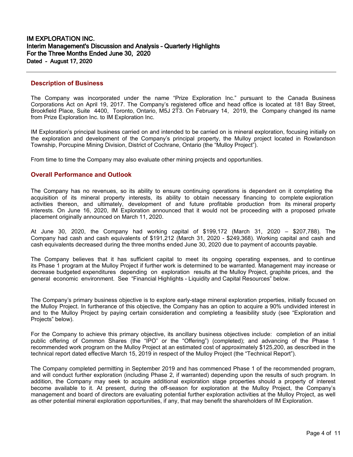## **Description of Business**

The Company was incorporated under the name "Prize Exploration Inc." pursuant to the Canada Business Corporations Act on April 19, 2017. The Company's registered office and head office is located at 181 Bay Street, Brookfield Place, Suite 4400, Toronto, Ontario, M5J 2T3. On February 14, 2019, the Company changed its name from Prize Exploration Inc. to IM Exploration Inc.

IM Exploration's principal business carried on and intended to be carried on is mineral exploration, focusing initially on the exploration and development of the Company's principal property, the Mulloy project located in Rowlandson Township, Porcupine Mining Division, District of Cochrane, Ontario (the "Mulloy Project").

From time to time the Company may also evaluate other mining projects and opportunities.

### **Overall Performance and Outlook**

The Company has no revenues, so its ability to ensure continuing operations is dependent on it completing the acquisition of its mineral property interests, its ability to obtain necessary financing to complete exploration activities thereon, and ultimately, development of and future profitable production from its mineral property interests. On June 16, 2020, IM Exploration announced that it would not be proceeding with a proposed private placement originally announced on March 11, 2020.

At June 30, 2020, the Company had working capital of \$199,172 (March 31, 2020 – \$207,788). The Company had cash and cash equivalents of \$191,212 (March 31, 2020 - \$249,368). Working capital and cash and cash equivalents decreased during the three months ended June 30, 2020 due to payment of accounts payable.

The Company believes that it has sufficient capital to meet its ongoing operating expenses, and to continue its Phase 1 program at the Mulloy Project if further work is determined to be warranted. Management may increase or decrease budgeted expenditures depending on exploration results at the Mulloy Project, graphite prices, and the general economic environment. See "Financial Highlights - Liquidity and Capital Resources" below.

The Company's primary business objective is to explore early-stage mineral exploration properties, initially focused on the Mulloy Project. In furtherance of this objective, the Company has an option to acquire a 90% undivided interest in and to the Mulloy Project by paying certain consideration and completing a feasibility study (see "Exploration and Projects" below).

For the Company to achieve this primary objective, its ancillary business objectives include: completion of an initial public offering of Common Shares (the "IPO" or the "Offering") (completed); and advancing of the Phase 1 recommended work program on the Mulloy Project at an estimated cost of approximately \$125,200, as described in the technical report dated effective March 15, 2019 in respect of the Mulloy Project (the "Technical Report").

The Company completed permitting in September 2019 and has commenced Phase 1 of the recommended program, and will conduct further exploration (including Phase 2, if warranted) depending upon the results of such program. In addition, the Company may seek to acquire additional exploration stage properties should a property of interest become available to it. At present, during the off-season for exploration at the Mulloy Project, the Company's management and board of directors are evaluating potential further exploration activities at the Mulloy Project, as well as other potential mineral exploration opportunities, if any, that may benefit the shareholders of IM Exploration.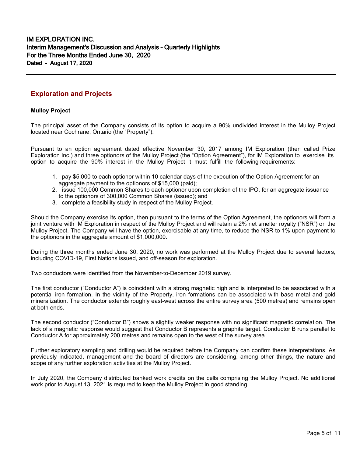# **Exploration and Projects**

#### **Mulloy Project**

The principal asset of the Company consists of its option to acquire a 90% undivided interest in the Mulloy Project located near Cochrane, Ontario (the "Property").

Pursuant to an option agreement dated effective November 30, 2017 among IM Exploration (then called Prize Exploration Inc.) and three optionors of the Mulloy Project (the "Option Agreement"), for IM Exploration to exercise its option to acquire the 90% interest in the Mulloy Project it must fulfill the following requirements:

- 1. pay \$5,000 to each optionor within 10 calendar days of the execution of the Option Agreement for an aggregate payment to the optionors of \$15,000 (paid);
- 2. issue 100,000 Common Shares to each optionor upon completion of the IPO, for an aggregate issuance to the optionors of 300,000 Common Shares (issued); and
- 3. complete a feasibility study in respect of the Mulloy Project.

Should the Company exercise its option, then pursuant to the terms of the Option Agreement, the optionors will form a joint venture with IM Exploration in respect of the Mulloy Project and will retain a 2% net smelter royalty ("NSR") on the Mulloy Project. The Company will have the option, exercisable at any time, to reduce the NSR to 1% upon payment to the optionors in the aggregate amount of \$1,000,000.

During the three months ended June 30, 2020, no work was performed at the Mulloy Project due to several factors, including COVID-19, First Nations issued, and off-season for exploration.

Two conductors were identified from the November-to-December 2019 survey.

The first conductor ("Conductor A") is coincident with a strong magnetic high and is interpreted to be associated with a potential iron formation. In the vicinity of the Property, iron formations can be associated with base metal and gold mineralization. The conductor extends roughly east-west across the entire survey area (500 metres) and remains open at both ends.

The second conductor ("Conductor B") shows a slightly weaker response with no significant magnetic correlation. The lack of a magnetic response would suggest that Conductor B represents a graphite target. Conductor B runs parallel to Conductor A for approximately 200 metres and remains open to the west of the survey area.

Further exploratory sampling and drilling would be required before the Company can confirm these interpretations. As previously indicated, management and the board of directors are considering, among other things, the nature and scope of any further exploration activities at the Mulloy Project.

In July 2020, the Company distributed banked work credits on the cells comprising the Mulloy Project. No additional work prior to August 13, 2021 is required to keep the Mulloy Project in good standing.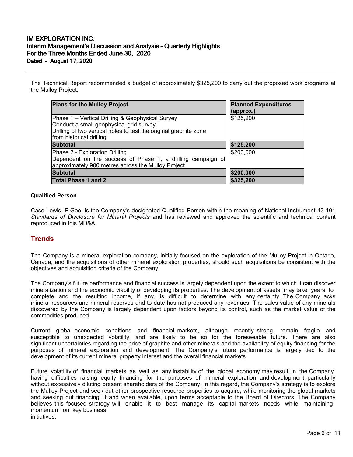# IM EXPLORATION INC. Interim Management's Discussion and Analysis – Quarterly Highlights For the Three Months Ended June 30, 2020 Dated - August 17, 2020

The Technical Report recommended a budget of approximately \$325,200 to carry out the proposed work programs at the Mulloy Project.

| <b>Plans for the Mulloy Project</b>                                                                                                                                                            | <b>Planned Expenditures</b><br>(approx.) |
|------------------------------------------------------------------------------------------------------------------------------------------------------------------------------------------------|------------------------------------------|
| Phase 1 – Vertical Drilling & Geophysical Survey<br>Conduct a small geophysical grid survey.<br>Drilling of two vertical holes to test the original graphite zone<br>from historical drilling. | \$125,200                                |
| <b>Subtotal</b>                                                                                                                                                                                | \$125,200                                |
| Phase 2 - Exploration Drilling<br>Dependent on the success of Phase 1, a drilling campaign of<br>approximately 900 metres across the Mulloy Project.                                           | \$200,000                                |
| <b>Subtotal</b>                                                                                                                                                                                | \$200,000                                |
| <b>Total Phase 1 and 2</b>                                                                                                                                                                     | \$325,200                                |

#### **Qualified Person**

Case Lewis, P.Geo. is the Company's designated Qualified Person within the meaning of National Instrument 43-101 *Standards of Disclosure for Mineral Projects* and has reviewed and approved the scientific and technical content reproduced in this MD&A.

# **Trends**

The Company is a mineral exploration company, initially focused on the exploration of the Mulloy Project in Ontario, Canada, and the acquisitions of other mineral exploration properties, should such acquisitions be consistent with the objectives and acquisition criteria of the Company.

The Company's future performance and financial success is largely dependent upon the extent to which it can discover mineralization and the economic viability of developing its properties. The development of assets may take years to complete and the resulting income, if any, is difficult to determine with any certainty. The Company lacks mineral resources and mineral reserves and to date has not produced any revenues. The sales value of any minerals discovered by the Company is largely dependent upon factors beyond its control, such as the market value of the commodities produced.

Current global economic conditions and financial markets, although recently strong, remain fragile and susceptible to unexpected volatility, and are likely to be so for the foreseeable future. There are also significant uncertainties regarding the price of graphite and other minerals and the availability of equity financing for the purposes of mineral exploration and development. The Company's future performance is largely tied to the development of its current mineral property interest and the overall financial markets.

Future volatility of financial markets as well as any instability of the global economy may result in the Company having difficulties raising equity financing for the purposes of mineral exploration and development, particularly without excessively diluting present shareholders of the Company. In this regard, the Company's strategy is to explore the Mulloy Project and seek out other prospective resource properties to acquire, while monitoring the global markets and seeking out financing, if and when available, upon terms acceptable to the Board of Directors. The Company believes this focused strategy will enable it to best manage its capital markets needs while maintaining momentum on key business initiatives.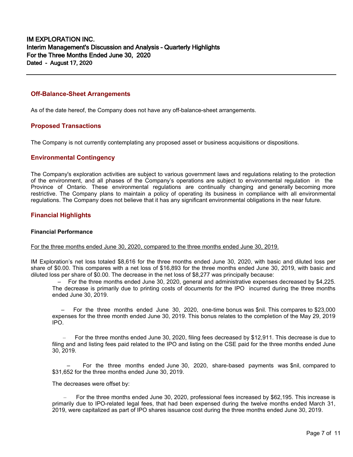## **Off-Balance-Sheet Arrangements**

As of the date hereof, the Company does not have any off-balance-sheet arrangements.

### **Proposed Transactions**

The Company is not currently contemplating any proposed asset or business acquisitions or dispositions.

#### **Environmental Contingency**

The Company's exploration activities are subject to various government laws and regulations relating to the protection of the environment, and all phases of the Company's operations are subject to environmental regulation in the Province of Ontario. These environmental regulations are continually changing and generally becoming more restrictive. The Company plans to maintain a policy of operating its business in compliance with all environmental regulations. The Company does not believe that it has any significant environmental obligations in the near future.

## **Financial Highlights**

#### **Financial Performance**

#### For the three months ended June 30, 2020, compared to the three months ended June 30, 2019.

IM Exploration's net loss totaled \$8,616 for the three months ended June 30, 2020, with basic and diluted loss per share of \$0.00. This compares with a net loss of \$16,893 for the three months ended June 30, 2019, with basic and diluted loss per share of \$0.00. The decrease in the net loss of \$8,277 was principally because:

 – For the three months ended June 30, 2020, general and administrative expenses decreased by \$4,225. The decrease is primarily due to printing costs of documents for the IPO incurred during the three months ended June 30, 2019.

 – For the three months ended June 30, 2020, one-time bonus was \$nil. This compares to \$23,000 expenses for the three month ended June 30, 2019. This bonus relates to the completion of the May 29, 2019 IPO.

 – For the three months ended June 30, 2020, filing fees decreased by \$12,911. This decrease is due to filing and and listing fees paid related to the IPO and listing on the CSE paid for the three months ended June 30, 2019.

 – For the three months ended June 30, 2020, share-based payments was \$nil, compared to \$31,652 for the three months ended June 30, 2019.

The decreases were offset by:

 – For the three months ended June 30, 2020, professional fees increased by \$62,195. This increase is primarily due to IPO-related legal fees, that had been expensed during the twelve months ended March 31, 2019, were capitalized as part of IPO shares issuance cost during the three months ended June 30, 2019.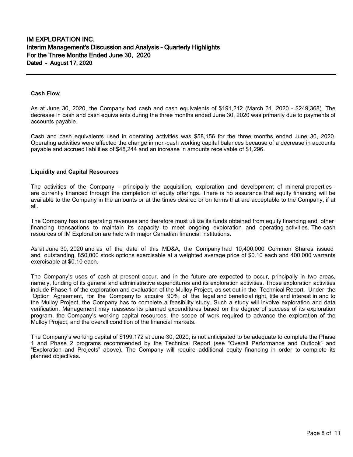#### **Cash Flow**

As at June 30, 2020, the Company had cash and cash equivalents of \$191,212 (March 31, 2020 - \$249,368). The decrease in cash and cash equivalents during the three months ended June 30, 2020 was primarily due to payments of accounts payable.

Cash and cash equivalents used in operating activities was \$58,156 for the three months ended June 30, 2020. Operating activities were affected the change in non-cash working capital balances because of a decrease in accounts payable and accrued liabilities of \$48,244 and an increase in amounts receivable of \$1,296.

#### **Liquidity and Capital Resources**

The activities of the Company - principally the acquisition, exploration and development of mineral properties are currently financed through the completion of equity offerings. There is no assurance that equity financing will be available to the Company in the amounts or at the times desired or on terms that are acceptable to the Company, if at all.

The Company has no operating revenues and therefore must utilize its funds obtained from equity financing and other financing transactions to maintain its capacity to meet ongoing exploration and operating activities. The cash resources of IM Exploration are held with major Canadian financial institutions.

As at June 30, 2020 and as of the date of this MD&A, the Company had 10,400,000 Common Shares issued and outstanding, 850,000 stock options exercisable at a weighted average price of \$0.10 each and 400,000 warrants exercisable at \$0.10 each.

The Company's uses of cash at present occur, and in the future are expected to occur, principally in two areas, namely, funding of its general and administrative expenditures and its exploration activities. Those exploration activities include Phase 1 of the exploration and evaluation of the Mulloy Project, as set out in the Technical Report. Under the Option Agreement, for the Company to acquire 90% of the legal and beneficial right, title and interest in and to the Mulloy Project, the Company has to complete a feasibility study. Such a study will involve exploration and data verification. Management may reassess its planned expenditures based on the degree of success of its exploration program, the Company's working capital resources, the scope of work required to advance the exploration of the Mulloy Project, and the overall condition of the financial markets.

The Company's working capital of \$199,172 at June 30, 2020, is not anticipated to be adequate to complete the Phase 1 and Phase 2 programs recommended by the Technical Report (see "Overall Performance and Outlook" and "Exploration and Projects" above). The Company will require additional equity financing in order to complete its planned objectives.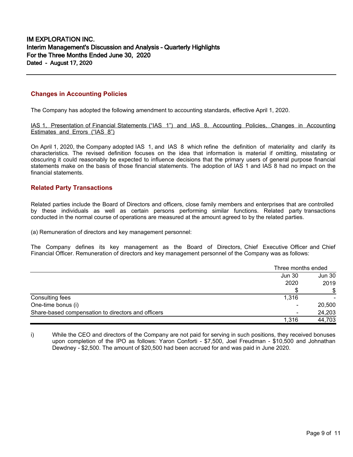# **Changes in Accounting Policies**

The Company has adopted the following amendment to accounting standards, effective April 1, 2020.

IAS 1, Presentation of Financial Statements ("IAS 1") and IAS 8, Accounting Policies, Changes in Accounting Estimates and Errors ("IAS 8")

On April 1, 2020, the Company adopted IAS 1, and IAS 8 which refine the definition of materiality and clarify its characteristics. The revised definition focuses on the idea that information is material if omitting, misstating or obscuring it could reasonably be expected to influence decisions that the primary users of general purpose financial statements make on the basis of those financial statements. The adoption of IAS 1 and IAS 8 had no impact on the financial statements.

## **Related Party Transactions**

Related parties include the Board of Directors and officers, close family members and enterprises that are controlled by these individuals as well as certain persons performing similar functions. Related party transactions conducted in the normal course of operations are measured at the amount agreed to by the related parties.

(a) Remuneration of directors and key management personnel:

The Company defines its key management as the Board of Directors, Chief Executive Officer and Chief Financial Officer. Remuneration of directors and key management personnel of the Company was as follows:

|                                                    | Three months ended |        |
|----------------------------------------------------|--------------------|--------|
|                                                    | <b>Jun 30</b>      | Jun 30 |
|                                                    | 2020               | 2019   |
|                                                    |                    | \$     |
| Consulting fees                                    | 1,316              |        |
| One-time bonus (i)                                 | -                  | 20,500 |
| Share-based compensation to directors and officers |                    | 24,203 |
|                                                    | 1.316              | 44,703 |

i) While the CEO and directors of the Company are not paid for serving in such positions, they received bonuses upon completion of the IPO as follows: Yaron Conforti - \$7,500, Joel Freudman - \$10,500 and Johnathan Dewdney - \$2,500. The amount of \$20,500 had been accrued for and was paid in June 2020.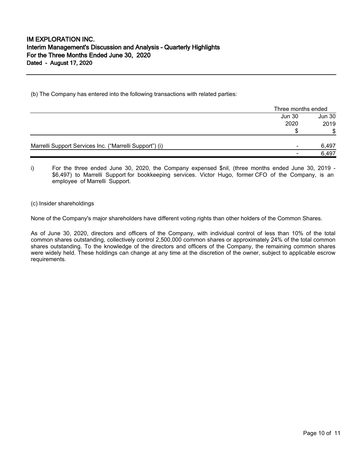(b) The Company has entered into the following transactions with related parties:

|                                                         | Three months ended       |        |
|---------------------------------------------------------|--------------------------|--------|
|                                                         | <b>Jun 30</b>            | Jun 30 |
|                                                         | 2020                     | 2019   |
|                                                         |                          | \$     |
| Marrelli Support Services Inc. ("Marrelli Support") (i) | $\overline{\phantom{a}}$ | 6,497  |
|                                                         |                          | 6,497  |

i) For the three ended June 30, 2020, the Company expensed \$nil, (three months ended June 30, 2019 - \$6,497) to Marrelli Support for bookkeeping services. Victor Hugo, former CFO of the Company, is an employee of Marrelli Support.

(c) Insider shareholdings

None of the Company's major shareholders have different voting rights than other holders of the Common Shares.

As of June 30, 2020, directors and officers of the Company, with individual control of less than 10% of the total common shares outstanding, collectively control 2,500,000 common shares or approximately 24% of the total common shares outstanding. To the knowledge of the directors and officers of the Company, the remaining common shares were widely held. These holdings can change at any time at the discretion of the owner, subject to applicable escrow requirements.